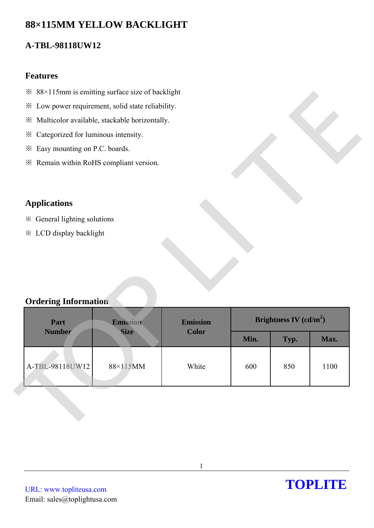# **88×115MM YELLOW BACKLIGHT**

## **A-TBL-98118UW12**

### **Features**

- ※ 88×115mm is emitting surface size of backlight
- ※ Low power requirement, solid state reliability.
- ※ Multicolor available, stackable horizontally.
- ※ Categorized for luminous intensity.
- ※ Easy mounting on P.C. boards.
- ※ Remain within RoHS compliant version.

## **Applications**

- ※ General lighting solutions
- ※ LCD display backlight

### **Ordering Information**

| * Low power requirement, solid state reliability. |                         |                                 |      |                          |      |
|---------------------------------------------------|-------------------------|---------------------------------|------|--------------------------|------|
| ※ Multicolor available, stackable horizontally.   |                         |                                 |      |                          |      |
| * Categorized for luminous intensity.             |                         |                                 |      |                          |      |
| * Easy mounting on P.C. boards.                   |                         |                                 |      |                          |      |
| * Remain within RoHS compliant version.           |                         |                                 |      |                          |      |
|                                                   |                         |                                 |      |                          |      |
|                                                   |                         |                                 |      |                          |      |
| <b>Applications</b>                               |                         |                                 |      |                          |      |
| ※ General lighting solutions                      |                         |                                 |      |                          |      |
| <b>※ LCD display backlight</b>                    |                         |                                 |      |                          |      |
|                                                   |                         |                                 |      |                          |      |
|                                                   |                         |                                 |      |                          |      |
|                                                   |                         |                                 |      |                          |      |
|                                                   |                         |                                 |      |                          |      |
|                                                   |                         |                                 |      |                          |      |
| <b>Ordering Information</b>                       |                         |                                 |      |                          |      |
|                                                   |                         |                                 |      | Brightness IV $(cd/m^2)$ |      |
| Part<br><b>Number</b>                             | Emission<br><b>Size</b> | <b>Emission</b><br><b>Color</b> |      |                          |      |
|                                                   |                         |                                 | Min. | Typ.                     | Max. |
|                                                   |                         |                                 |      |                          |      |
| A-TBL-98118UW12                                   | 88×115MM                | White                           | 600  | 850                      | 1100 |
|                                                   |                         |                                 |      |                          |      |
|                                                   |                         |                                 |      |                          |      |
|                                                   |                         |                                 |      |                          |      |

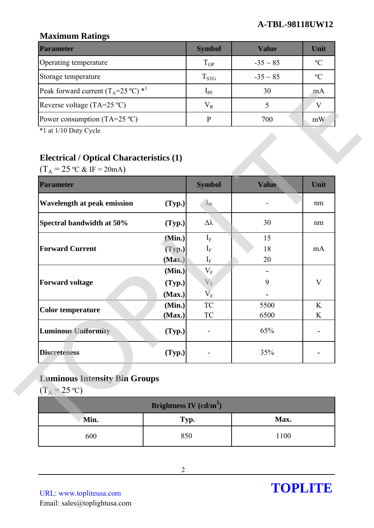### **A-TBL-98118UW12**

## **Maximum Ratings**

| <b>Parameter</b>                                        | <b>Symbol</b> | Value         | Unit        |
|---------------------------------------------------------|---------------|---------------|-------------|
| Operating temperature                                   | $T_{OP}$      | $-35 \sim 85$ | $\rm ^oC$   |
| Storage temperature                                     | $T_{STG}$     | $-35 \sim 85$ | $\rm ^{o}C$ |
| Peak forward current $(T_A=25 \degree C)$ <sup>*1</sup> | $1_{\rm PF}$  | 30            | mA          |
| Reverse voltage (TA=25 $^{\circ}$ C)                    | $V_R$         |               |             |
| Power consumption (TA=25 $^{\circ}$ C)                  |               | 700           | mW          |

## **Electrical / Optical Characteristics (1)**

| I can forward carrent $\begin{pmatrix} 1 & 2 & 2 \end{pmatrix}$                                                                   |                          | +h.                | ◡◡    | $\mathbf{m}\mathbf{r}$ |
|-----------------------------------------------------------------------------------------------------------------------------------|--------------------------|--------------------|-------|------------------------|
| Reverse voltage $(TA=25 °C)$                                                                                                      |                          | $V_R$              | 5     | V                      |
| Power consumption $(TA=25 \degree C)$                                                                                             |                          | $\, {\bf P}$       | 700   | mW                     |
| *1 at 1/10 Duty Cycle<br><b>Electrical / Optical Characteristics (1)</b><br>$(T_A = 25 \text{ °C} \& \text{ IF} = 20 \text{ mA})$ |                          |                    |       |                        |
| <b>Parameter</b>                                                                                                                  |                          | <b>Symbol</b>      | Value | Unit                   |
| Wavelength at peak emission                                                                                                       | (Typ.)                   | $\lambda_{\rm P}$  |       | nm                     |
| Spectral bandwidth at 50%                                                                                                         | (Typ.)                   | $\Delta \lambda$   | 30    | nm                     |
|                                                                                                                                   | (Min.)                   | $I_F$              | 15    |                        |
| <b>Forward Current</b>                                                                                                            | (Typ.)                   | $I_{\rm F}$        | 18    | mA                     |
|                                                                                                                                   | (Max.)                   | $I_{\rm F}$        | 20    |                        |
| <b>Forward voltage</b>                                                                                                            | (Min.)<br>(Typ.)         | $\rm V_F$<br>$V_F$ | 9     | $\mathbf{V}$           |
|                                                                                                                                   | (Max.)                   | $\overline{V}_F$   |       |                        |
|                                                                                                                                   | (Min.)                   | <b>TC</b>          | 5500  | K                      |
| <b>Color temperature</b>                                                                                                          | (Max.)                   | <b>TC</b>          | 6500  | K                      |
| <b>Luminous Uniformity</b>                                                                                                        | (Typ.)                   |                    | 65%   |                        |
| <b>Discreteness</b>                                                                                                               | (Typ.)                   |                    | 35%   |                        |
| <b>Luminous Intensity Bin Groups</b><br>$(T_A = 25 \text{ °C})$                                                                   |                          |                    |       |                        |
|                                                                                                                                   | Brightness IV $(cd/m^2)$ |                    |       |                        |
| Min.                                                                                                                              | Typ.                     |                    | Max.  |                        |
| 600                                                                                                                               | 850                      |                    | 1100  |                        |

# **Luminous Intensity Bin Groups**

| Brightness IV $(cd/m^2)$ |      |      |  |  |
|--------------------------|------|------|--|--|
| Min.                     | Typ. | Max. |  |  |
| 600                      | 850  | 1100 |  |  |

URL: www.topliteusa.com Email: sales@toplightusa.com

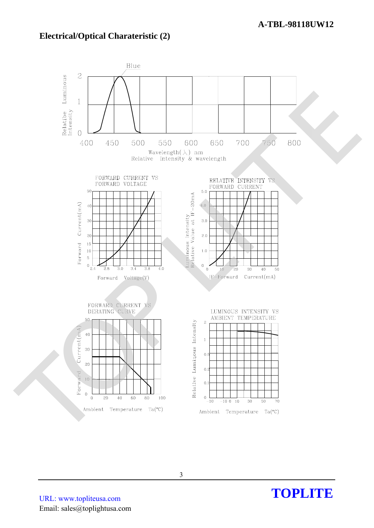#### **Electrical/Optical Charateristic (2)**



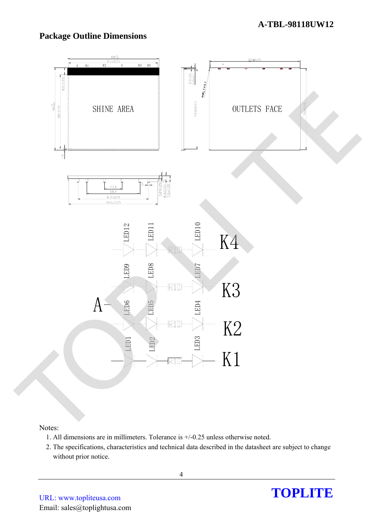### **Package Outline Dimensions**



#### Notes:

- 1. All dimensions are in millimeters. Tolerance is +/-0.25 unless otherwise noted.
- 2. The specifications, characteristics and technical data described in the datasheet are subject to change without prior notice.

URL: www.topliteusa.com Email: sales@toplightusa.com